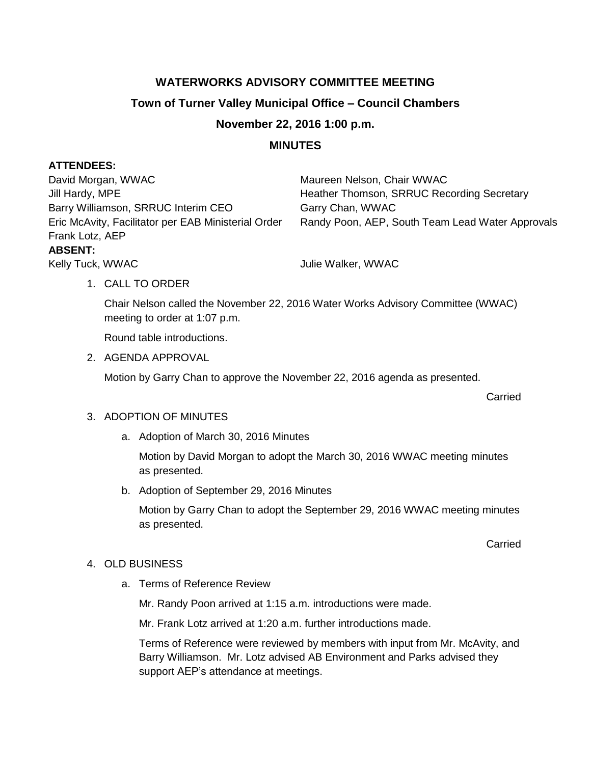# **WATERWORKS ADVISORY COMMITTEE MEETING**

## **Town of Turner Valley Municipal Office – Council Chambers**

## **November 22, 2016 1:00 p.m.**

## **MINUTES**

### **ATTENDEES:**

David Morgan, WWAC Maureen Nelson, Chair WWAC Jill Hardy, MPE **Heather Thomson, SRRUC Recording Secretary** Barry Williamson, SRRUC Interim CEO Garry Chan, WWAC Frank Lotz, AEP **ABSENT:**

Eric McAvity, Facilitator per EAB Ministerial Order Randy Poon, AEP, South Team Lead Water Approvals

### 1. CALL TO ORDER

Chair Nelson called the November 22, 2016 Water Works Advisory Committee (WWAC) meeting to order at 1:07 p.m.

Round table introductions.

2. AGENDA APPROVAL

Motion by Garry Chan to approve the November 22, 2016 agenda as presented.

Carried

### 3. ADOPTION OF MINUTES

a. Adoption of March 30, 2016 Minutes

Kelly Tuck, WWAC **Vullie Walker, WWAC** Julie Walker, WWAC

Motion by David Morgan to adopt the March 30, 2016 WWAC meeting minutes as presented.

b. Adoption of September 29, 2016 Minutes

Motion by Garry Chan to adopt the September 29, 2016 WWAC meeting minutes as presented.

Carried

### 4. OLD BUSINESS

a. Terms of Reference Review

Mr. Randy Poon arrived at 1:15 a.m. introductions were made.

Mr. Frank Lotz arrived at 1:20 a.m. further introductions made.

Terms of Reference were reviewed by members with input from Mr. McAvity, and Barry Williamson. Mr. Lotz advised AB Environment and Parks advised they support AEP's attendance at meetings.